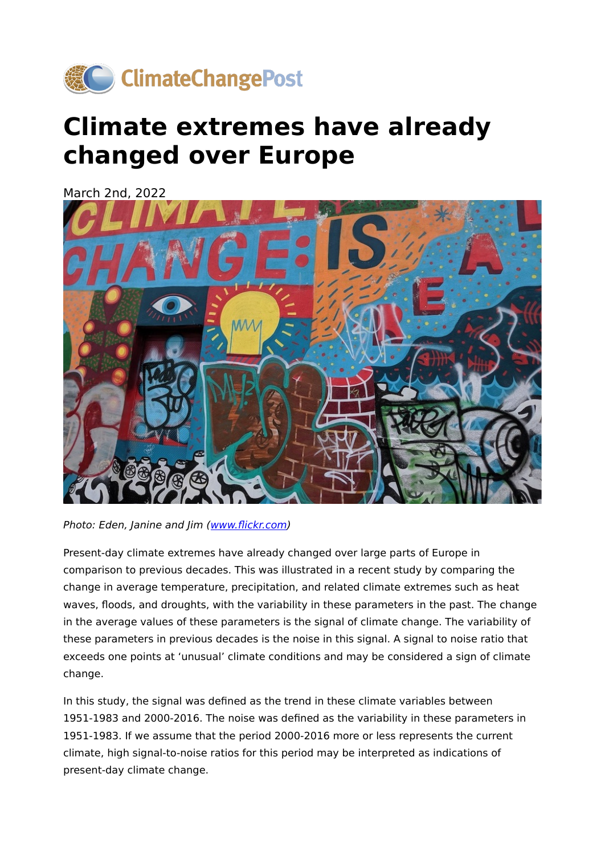

## **Climate extremes have already changed over Europe**

March 2nd, 2022



Photo: Eden, Janine and Jim (www.fl[ickr.com](https://flickr.com/photos/edenpictures/48756840303/in/photolist-2hhtxXD-QLPCfo-2jDWEtX-2n49FzS-2NsU4q-T4nJRm-2fcyEtZ-2Nstwd-NgDcoX-2fcyAqP-NgDcXx-73qxo6-2bXu6Sd-9hKaSg-2fcyEaH-2NpETP-T4nBU5-exFS1K-2Noqft-2e6Dgys-nwBqq2-617zMK-2i593Yd-Gef5yy-FJaYL3-587kk-7nfT5m-24A3sx6-Fe2bHK-8Tm7G6-eGL1Zc-73CtLC-GDqg7i-2fcyEmz-2e6DpLQ-drSPGj-T4nL2Y-6bsZqo-2kMVeQj-2fcyEge-bw6otT-7nJ7aB-2e6Dpj7-4chb5H-5YD7oA-2e6Dpdf-G17Y4U-212CH3v-2kMVero-8gPbva))

Present-day climate extremes have already changed over large parts of Europe in comparison to previous decades. This was illustrated in a recent study by comparing the change in average temperature, precipitation, and related climate extremes such as heat waves, floods, and droughts, with the variability in these parameters in the past. The change in the average values of these parameters is the signal of climate change. The variability of these parameters in previous decades is the noise in this signal. A signal to noise ratio that exceeds one points at 'unusual' climate conditions and may be considered a sign of climate change.

In this study, the signal was defined as the trend in these climate variables between 1951-1983 and 2000-2016. The noise was defined as the variability in these parameters in 1951-1983. If we assume that the period 2000-2016 more or less represents the current climate, high signal-to-noise ratios for this period may be interpreted as indications of present-day climate change.